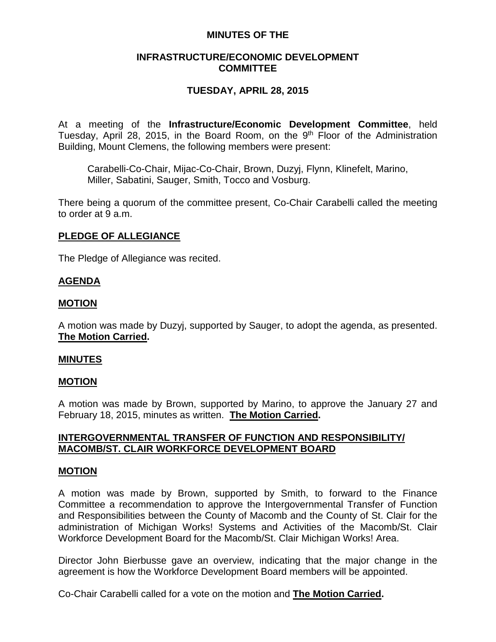# **MINUTES OF THE**

# **INFRASTRUCTURE/ECONOMIC DEVELOPMENT COMMITTEE**

# **TUESDAY, APRIL 28, 2015**

At a meeting of the **Infrastructure/Economic Development Committee**, held Tuesday, April 28, 2015, in the Board Room, on the  $9<sup>th</sup>$  Floor of the Administration Building, Mount Clemens, the following members were present:

Carabelli-Co-Chair, Mijac-Co-Chair, Brown, Duzyj, Flynn, Klinefelt, Marino, Miller, Sabatini, Sauger, Smith, Tocco and Vosburg.

There being a quorum of the committee present, Co-Chair Carabelli called the meeting to order at 9 a.m.

# **PLEDGE OF ALLEGIANCE**

The Pledge of Allegiance was recited.

# **AGENDA**

### **MOTION**

A motion was made by Duzyj, supported by Sauger, to adopt the agenda, as presented. **The Motion Carried.**

### **MINUTES**

### **MOTION**

A motion was made by Brown, supported by Marino, to approve the January 27 and February 18, 2015, minutes as written. **The Motion Carried.**

# **INTERGOVERNMENTAL TRANSFER OF FUNCTION AND RESPONSIBILITY/ MACOMB/ST. CLAIR WORKFORCE DEVELOPMENT BOARD**

### **MOTION**

A motion was made by Brown, supported by Smith, to forward to the Finance Committee a recommendation to approve the Intergovernmental Transfer of Function and Responsibilities between the County of Macomb and the County of St. Clair for the administration of Michigan Works! Systems and Activities of the Macomb/St. Clair Workforce Development Board for the Macomb/St. Clair Michigan Works! Area.

Director John Bierbusse gave an overview, indicating that the major change in the agreement is how the Workforce Development Board members will be appointed.

Co-Chair Carabelli called for a vote on the motion and **The Motion Carried.**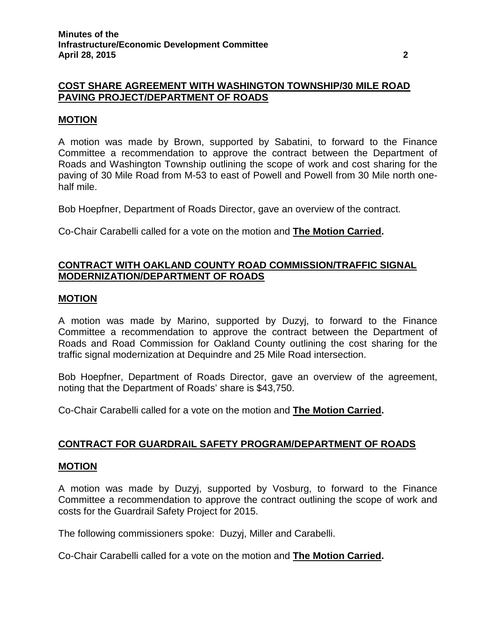# **COST SHARE AGREEMENT WITH WASHINGTON TOWNSHIP/30 MILE ROAD PAVING PROJECT/DEPARTMENT OF ROADS**

# **MOTION**

A motion was made by Brown, supported by Sabatini, to forward to the Finance Committee a recommendation to approve the contract between the Department of Roads and Washington Township outlining the scope of work and cost sharing for the paving of 30 Mile Road from M-53 to east of Powell and Powell from 30 Mile north onehalf mile.

Bob Hoepfner, Department of Roads Director, gave an overview of the contract.

Co-Chair Carabelli called for a vote on the motion and **The Motion Carried.**

# **CONTRACT WITH OAKLAND COUNTY ROAD COMMISSION/TRAFFIC SIGNAL MODERNIZATION/DEPARTMENT OF ROADS**

### **MOTION**

A motion was made by Marino, supported by Duzyj, to forward to the Finance Committee a recommendation to approve the contract between the Department of Roads and Road Commission for Oakland County outlining the cost sharing for the traffic signal modernization at Dequindre and 25 Mile Road intersection.

Bob Hoepfner, Department of Roads Director, gave an overview of the agreement, noting that the Department of Roads' share is \$43,750.

Co-Chair Carabelli called for a vote on the motion and **The Motion Carried.**

### **CONTRACT FOR GUARDRAIL SAFETY PROGRAM/DEPARTMENT OF ROADS**

#### **MOTION**

A motion was made by Duzyj, supported by Vosburg, to forward to the Finance Committee a recommendation to approve the contract outlining the scope of work and costs for the Guardrail Safety Project for 2015.

The following commissioners spoke: Duzyj, Miller and Carabelli.

Co-Chair Carabelli called for a vote on the motion and **The Motion Carried.**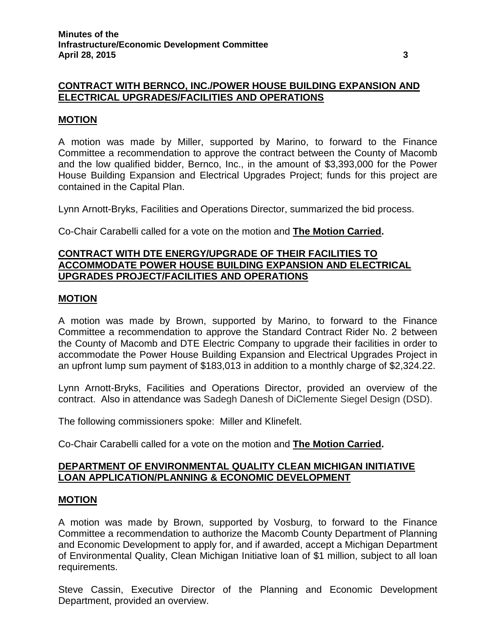# **CONTRACT WITH BERNCO, INC./POWER HOUSE BUILDING EXPANSION AND ELECTRICAL UPGRADES/FACILITIES AND OPERATIONS**

# **MOTION**

A motion was made by Miller, supported by Marino, to forward to the Finance Committee a recommendation to approve the contract between the County of Macomb and the low qualified bidder, Bernco, Inc., in the amount of \$3,393,000 for the Power House Building Expansion and Electrical Upgrades Project; funds for this project are contained in the Capital Plan.

Lynn Arnott-Bryks, Facilities and Operations Director, summarized the bid process.

Co-Chair Carabelli called for a vote on the motion and **The Motion Carried.**

# **CONTRACT WITH DTE ENERGY/UPGRADE OF THEIR FACILITIES TO ACCOMMODATE POWER HOUSE BUILDING EXPANSION AND ELECTRICAL UPGRADES PROJECT/FACILITIES AND OPERATIONS**

### **MOTION**

A motion was made by Brown, supported by Marino, to forward to the Finance Committee a recommendation to approve the Standard Contract Rider No. 2 between the County of Macomb and DTE Electric Company to upgrade their facilities in order to accommodate the Power House Building Expansion and Electrical Upgrades Project in an upfront lump sum payment of \$183,013 in addition to a monthly charge of \$2,324.22.

Lynn Arnott-Bryks, Facilities and Operations Director, provided an overview of the contract. Also in attendance was Sadegh Danesh of DiClemente Siegel Design (DSD).

The following commissioners spoke: Miller and Klinefelt.

Co-Chair Carabelli called for a vote on the motion and **The Motion Carried.**

### **DEPARTMENT OF ENVIRONMENTAL QUALITY CLEAN MICHIGAN INITIATIVE LOAN APPLICATION/PLANNING & ECONOMIC DEVELOPMENT**

### **MOTION**

A motion was made by Brown, supported by Vosburg, to forward to the Finance Committee a recommendation to authorize the Macomb County Department of Planning and Economic Development to apply for, and if awarded, accept a Michigan Department of Environmental Quality, Clean Michigan Initiative loan of \$1 million, subject to all loan requirements.

Steve Cassin, Executive Director of the Planning and Economic Development Department, provided an overview.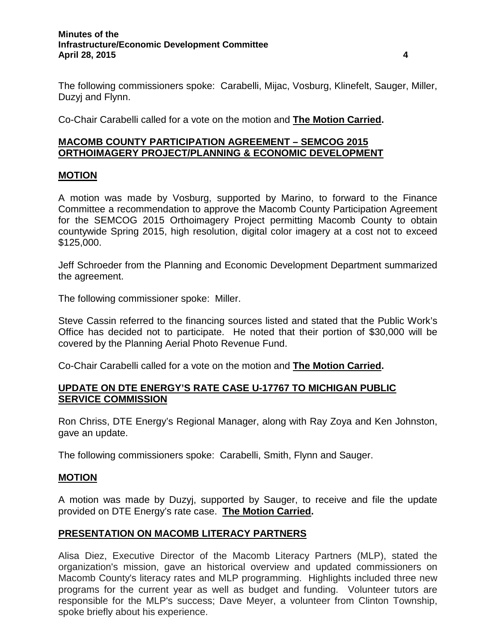#### **Minutes of the Infrastructure/Economic Development Committee April 28, 2015 4**

The following commissioners spoke: Carabelli, Mijac, Vosburg, Klinefelt, Sauger, Miller, Duzyj and Flynn.

Co-Chair Carabelli called for a vote on the motion and **The Motion Carried.**

# **MACOMB COUNTY PARTICIPATION AGREEMENT – SEMCOG 2015 ORTHOIMAGERY PROJECT/PLANNING & ECONOMIC DEVELOPMENT**

### **MOTION**

A motion was made by Vosburg, supported by Marino, to forward to the Finance Committee a recommendation to approve the Macomb County Participation Agreement for the SEMCOG 2015 Orthoimagery Project permitting Macomb County to obtain countywide Spring 2015, high resolution, digital color imagery at a cost not to exceed \$125,000.

Jeff Schroeder from the Planning and Economic Development Department summarized the agreement.

The following commissioner spoke: Miller.

Steve Cassin referred to the financing sources listed and stated that the Public Work's Office has decided not to participate. He noted that their portion of \$30,000 will be covered by the Planning Aerial Photo Revenue Fund.

Co-Chair Carabelli called for a vote on the motion and **The Motion Carried.**

## **UPDATE ON DTE ENERGY'S RATE CASE U-17767 TO MICHIGAN PUBLIC SERVICE COMMISSION**

Ron Chriss, DTE Energy's Regional Manager, along with Ray Zoya and Ken Johnston, gave an update.

The following commissioners spoke: Carabelli, Smith, Flynn and Sauger.

#### **MOTION**

A motion was made by Duzyj, supported by Sauger, to receive and file the update provided on DTE Energy's rate case. **The Motion Carried.**

### **PRESENTATION ON MACOMB LITERACY PARTNERS**

Alisa Diez, Executive Director of the Macomb Literacy Partners (MLP), stated the organization's mission, gave an historical overview and updated commissioners on Macomb County's literacy rates and MLP programming. Highlights included three new programs for the current year as well as budget and funding. Volunteer tutors are responsible for the MLP's success; Dave Meyer, a volunteer from Clinton Township, spoke briefly about his experience.